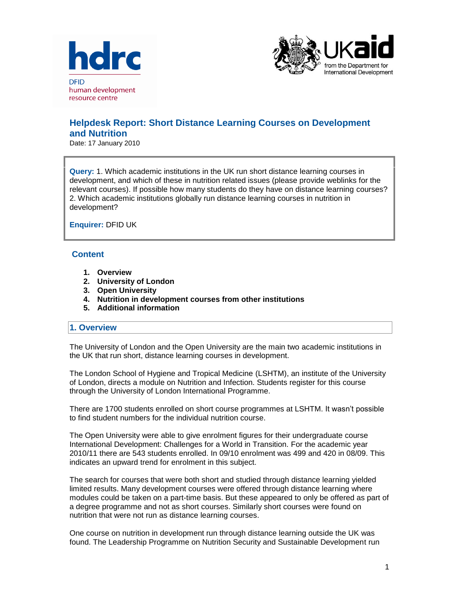



# **Helpdesk Report: Short Distance Learning Courses on Development and Nutrition**

Date: 17 January 2010

**Query:** 1. Which academic institutions in the UK run short distance learning courses in development, and which of these in nutrition related issues (please provide weblinks for the relevant courses). If possible how many students do they have on distance learning courses? 2. Which academic institutions globally run distance learning courses in nutrition in development?

**Enquirer:** DFID UK

## **Content**

- **1. Overview**
- **2. University of London**
- **3. Open University**
- **4. Nutrition in development courses from other institutions**
- **5. Additional information**

### **1. Overview**

The University of London and the Open University are the main two academic institutions in the UK that run short, distance learning courses in development.

The London School of Hygiene and Tropical Medicine (LSHTM), an institute of the University of London, directs a module on Nutrition and Infection. Students register for this course through the University of London International Programme.

There are 1700 students enrolled on short course programmes at LSHTM. It wasn't possible to find student numbers for the individual nutrition course.

The Open University were able to give enrolment figures for their undergraduate course International Development: Challenges for a World in Transition. For the academic year 2010/11 there are 543 students enrolled. In 09/10 enrolment was 499 and 420 in 08/09. This indicates an upward trend for enrolment in this subject.

The search for courses that were both short and studied through distance learning yielded limited results. Many development courses were offered through distance learning where modules could be taken on a part-time basis. But these appeared to only be offered as part of a degree programme and not as short courses. Similarly short courses were found on nutrition that were not run as distance learning courses.

One course on nutrition in development run through distance learning outside the UK was found. The Leadership Programme on Nutrition Security and Sustainable Development run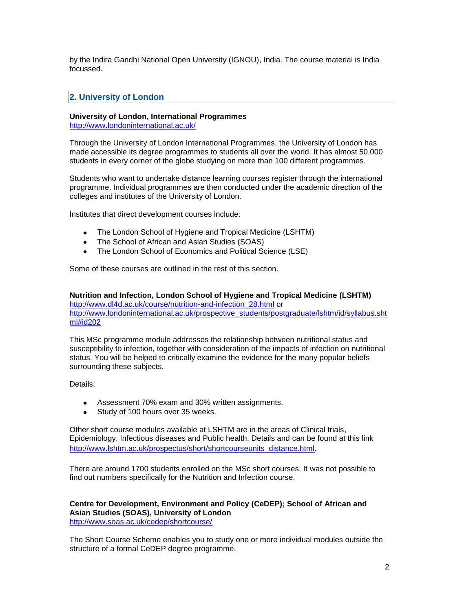by the Indira Gandhi National Open University (IGNOU), India. The course material is India focussed.

# **2. University of London**

## **University of London, International Programmes**

<http://www.londoninternational.ac.uk/>

Through the University of London International Programmes, the University of London has made accessible its degree programmes to students all over the world. It has almost 50,000 students in every corner of the globe studying on more than 100 different programmes.

Students who want to undertake distance learning courses register through the international programme. Individual programmes are then conducted under the academic direction of the colleges and institutes of the University of London.

Institutes that direct development courses include:

- The London School of Hygiene and Tropical Medicine (LSHTM)
- The School of African and Asian Studies (SOAS)
- The London School of Economics and Political Science (LSE)

Some of these courses are outlined in the rest of this section.

**Nutrition and Infection, London School of Hygiene and Tropical Medicine (LSHTM)** [http://www.dl4d.ac.uk/course/nutrition-and-infection\\_28.html](http://www.dl4d.ac.uk/course/nutrition-and-infection_28.html) or [http://www.londoninternational.ac.uk/prospective\\_students/postgraduate/lshtm/id/syllabus.sht](http://www.londoninternational.ac.uk/prospective_students/postgraduate/lshtm/id/syllabus.shtml#id202) [ml#id202](http://www.londoninternational.ac.uk/prospective_students/postgraduate/lshtm/id/syllabus.shtml#id202)

This MSc programme module addresses the relationship between nutritional status and susceptibility to infection, together with consideration of the impacts of infection on nutritional status. You will be helped to critically examine the evidence for the many popular beliefs surrounding these subjects.

Details:

- Assessment 70% exam and 30% written assignments.  $\bullet$
- Study of 100 hours over 35 weeks.  $\bullet$

Other short course modules available at LSHTM are in the areas of Clinical trials, Epidemiology, Infectious diseases and Public health. Details and can be found at this link [http://www.lshtm.ac.uk/prospectus/short/shortcourseunits\\_distance.html](http://www.lshtm.ac.uk/prospectus/short/shortcourseunits_distance.html).

There are around 1700 students enrolled on the MSc short courses. It was not possible to find out numbers specifically for the Nutrition and Infection course.

# **Centre for Development, Environment and Policy (CeDEP); School of African and Asian Studies (SOAS), University of London**

<http://www.soas.ac.uk/cedep/shortcourse/>

The Short Course Scheme enables you to study one or more individual modules outside the structure of a formal CeDEP degree programme.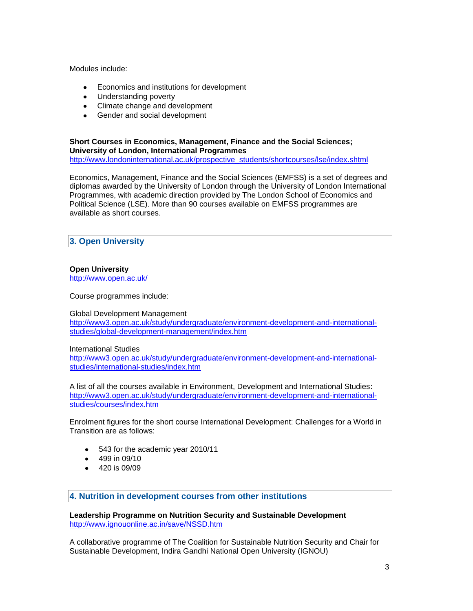Modules include:

- Economics and institutions for development
- Understanding poverty
- Climate change and development
- Gender and social development

## **Short Courses in Economics, Management, Finance and the Social Sciences; University of London, International Programmes**

[http://www.londoninternational.ac.uk/prospective\\_students/shortcourses/lse/index.shtml](http://www.londoninternational.ac.uk/prospective_students/shortcourses/lse/index.shtml)

Economics, Management, Finance and the Social Sciences (EMFSS) is a set of degrees and diplomas awarded by the University of London through the University of London International Programmes, with academic direction provided by The London School of Economics and Political Science (LSE). More than 90 courses available on EMFSS programmes are available as short courses.

**3. Open University**

#### **Open University**

<http://www.open.ac.uk/>

Course programmes include:

#### Global Development Management

[http://www3.open.ac.uk/study/undergraduate/environment-development-and-international](http://www3.open.ac.uk/study/undergraduate/environment-development-and-international-studies/global-development-management/index.htm)[studies/global-development-management/index.htm](http://www3.open.ac.uk/study/undergraduate/environment-development-and-international-studies/global-development-management/index.htm)

#### International Studies

[http://www3.open.ac.uk/study/undergraduate/environment-development-and-international](http://www3.open.ac.uk/study/undergraduate/environment-development-and-international-studies/international-studies/index.htm)[studies/international-studies/index.htm](http://www3.open.ac.uk/study/undergraduate/environment-development-and-international-studies/international-studies/index.htm)

A list of all the courses available in Environment, Development and International Studies: [http://www3.open.ac.uk/study/undergraduate/environment-development-and-international](http://www3.open.ac.uk/study/undergraduate/environment-development-and-international-studies/courses/index.htm)[studies/courses/index.htm](http://www3.open.ac.uk/study/undergraduate/environment-development-and-international-studies/courses/index.htm)

Enrolment figures for the short course International Development: Challenges for a World in Transition are as follows:

- 543 for the academic year 2010/11
- 499 in 09/10  $\bullet$
- $-420$  is 09/09

**4. Nutrition in development courses from other institutions**

**Leadership Programme on Nutrition Security and Sustainable Development** <http://www.ignouonline.ac.in/save/NSSD.htm>

A collaborative programme of The Coalition for Sustainable Nutrition Security and Chair for Sustainable Development, Indira Gandhi National Open University (IGNOU)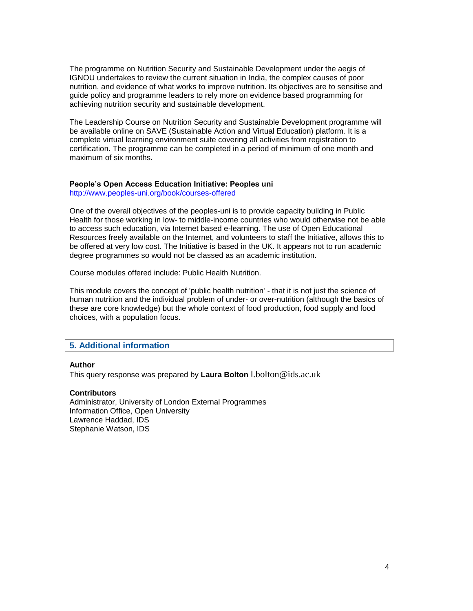The programme on Nutrition Security and Sustainable Development under the aegis of IGNOU undertakes to review the current situation in India, the complex causes of poor nutrition, and evidence of what works to improve nutrition. Its objectives are to sensitise and guide policy and programme leaders to rely more on evidence based programming for achieving nutrition security and sustainable development.

The Leadership Course on Nutrition Security and Sustainable Development programme will be available online on SAVE (Sustainable Action and Virtual Education) platform. It is a complete virtual learning environment suite covering all activities from registration to certification. The programme can be completed in a period of minimum of one month and maximum of six months.

#### **People's Open Access Education Initiative: Peoples uni**

<http://www.peoples-uni.org/book/courses-offered>

One of the overall objectives of the peoples-uni is to provide capacity building in Public Health for those working in low- to middle-income countries who would otherwise not be able to access such education, via Internet based e-learning. The use of Open Educational Resources freely available on the Internet, and volunteers to staff the Initiative, allows this to be offered at very low cost. The Initiative is based in the UK. It appears not to run academic degree programmes so would not be classed as an academic institution.

Course modules offered include: Public Health Nutrition.

This module covers the concept of 'public health nutrition' - that it is not just the science of human nutrition and the individual problem of under- or over-nutrition (although the basics of these are core knowledge) but the whole context of food production, food supply and food choices, with a population focus.

## **5. Additional information**

### **Author**

This query response was prepared by **Laura Bolton** l.bolton@ids.ac.uk

#### **Contributors**

Administrator, University of London External Programmes Information Office, Open University Lawrence Haddad, IDS Stephanie Watson, IDS